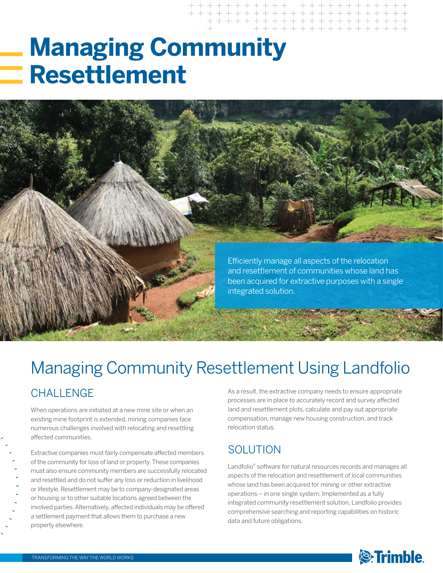# **Managing Community Resettlement**



### **CHALLENGE** Managing Community Resettlement Using Landfolio As a result, the extractive company needs to ensure appropriate

When operations are initiated at a new mine site or when an existing mine footprint is extended, mining companies face numerous challenges involved with relocating and resettling affected communities.

Extractive companies must fairly compensate affected members of the community for loss of land or property. These companies must also ensure community members are successfully relocated and resettled and do not suffer any loss or reduction in livelihood or lifestyle. Resettlement may be to company-designated areas or housing or to other suitable locations agreed between the involved parties. Alternatively, affected individuals may be offered a settlement payment that allows them to purchase a new property elsewhere.

processes are in place to accurately record and survey affected land and resettlement plots, calculate and pay out appropriate compensation, manage new housing construction, and track relocation status.

### **SOLUTION**

Landfolio® software for natural resources records and manages all aspects of the relocation and resettlement of local communities whose land has been acquired for mining or other extractive operations – in one single system. Implemented as a fully integrated community resettlement solution, Landfolio provides comprehensive searching and reporting capabilities on historic data and future obligations.